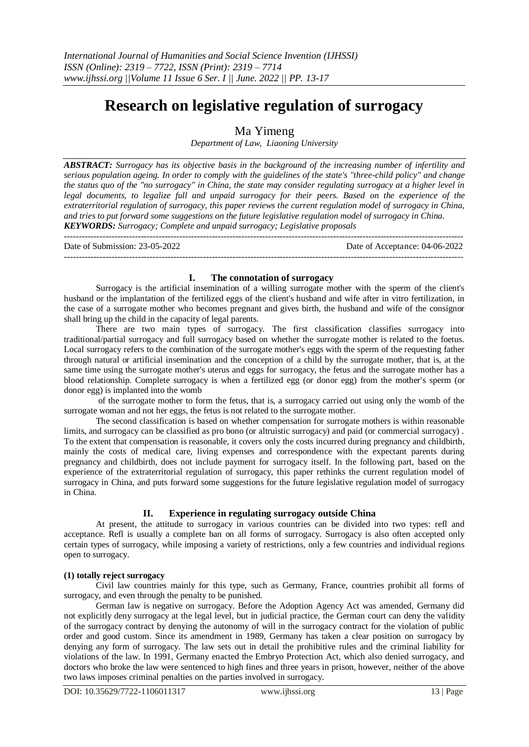# **Research on legislative regulation of surrogacy**

## Ma Yimeng

*Department of Law, Liaoning University*

*ABSTRACT: Surrogacy has its objective basis in the background of the increasing number of infertility and serious population ageing. In order to comply with the guidelines of the state's "three-child policy" and change the status quo of the "no surrogacy" in China, the state may consider regulating surrogacy at a higher level in legal documents, to legalize full and unpaid surrogacy for their peers. Based on the experience of the extraterritorial regulation of surrogacy, this paper reviews the current regulation model of surrogacy in China, and tries to put forward some suggestions on the future legislative regulation model of surrogacy in China. KEYWORDS: Surrogacy; Complete and unpaid surrogacy; Legislative proposals*

--------------------------------------------------------------------------------------------------------------------------------------- Date of Submission: 23-05-2022 Date of Acceptance: 04-06-2022 ---------------------------------------------------------------------------------------------------------------------------------------

## **I. The connotation of surrogacy**

Surrogacy is the artificial insemination of a willing surrogate mother with the sperm of the client's husband or the implantation of the fertilized eggs of the client's husband and wife after in vitro fertilization, in the case of a surrogate mother who becomes pregnant and gives birth, the husband and wife of the consignor shall bring up the child in the capacity of legal parents.

There are two main types of surrogacy. The first classification classifies surrogacy into traditional/partial surrogacy and full surrogacy based on whether the surrogate mother is related to the foetus. Local surrogacy refers to the combination of the surrogate mother's eggs with the sperm of the requesting father through natural or artificial insemination and the conception of a child by the surrogate mother, that is, at the same time using the surrogate mother's uterus and eggs for surrogacy, the fetus and the surrogate mother has a blood relationship. Complete surrogacy is when a fertilized egg (or donor egg) from the mother's sperm (or donor egg) is implanted into the womb

of the surrogate mother to form the fetus, that is, a surrogacy carried out using only the womb of the surrogate woman and not her eggs, the fetus is not related to the surrogate mother.

The second classification is based on whether compensation for surrogate mothers is within reasonable limits, and surrogacy can be classified as pro bono (or altruistic surrogacy) and paid (or commercial surrogacy) . To the extent that compensation is reasonable, it covers only the costs incurred during pregnancy and childbirth, mainly the costs of medical care, living expenses and correspondence with the expectant parents during pregnancy and childbirth, does not include payment for surrogacy itself. In the following part, based on the experience of the extraterritorial regulation of surrogacy, this paper rethinks the current regulation model of surrogacy in China, and puts forward some suggestions for the future legislative regulation model of surrogacy in China.

## **II. Experience in regulating surrogacy outside China**

At present, the attitude to surrogacy in various countries can be divided into two types: refl and acceptance. Refl is usually a complete ban on all forms of surrogacy. Surrogacy is also often accepted only certain types of surrogacy, while imposing a variety of restrictions, only a few countries and individual regions open to surrogacy.

## **(1) totally reject surrogacy**

Civil law countries mainly for this type, such as Germany, France, countries prohibit all forms of surrogacy, and even through the penalty to be punished.

German law is negative on surrogacy. Before the Adoption Agency Act was amended, Germany did not explicitly deny surrogacy at the legal level, but in judicial practice, the German court can deny the validity of the surrogacy contract by denying the autonomy of will in the surrogacy contract for the violation of public order and good custom. Since its amendment in 1989, Germany has taken a clear position on surrogacy by denying any form of surrogacy. The law sets out in detail the prohibitive rules and the criminal liability for violations of the law. In 1991, Germany enacted the Embryo Protection Act, which also denied surrogacy, and doctors who broke the law were sentenced to high fines and three years in prison, however, neither of the above two laws imposes criminal penalties on the parties involved in surrogacy.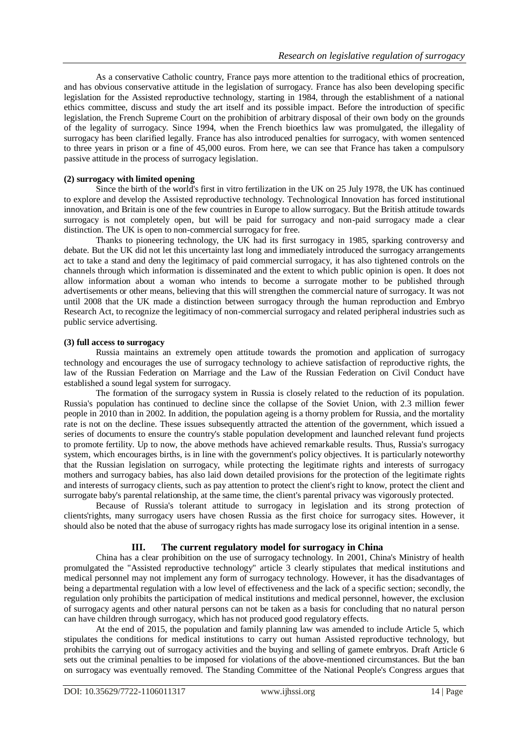As a conservative Catholic country, France pays more attention to the traditional ethics of procreation, and has obvious conservative attitude in the legislation of surrogacy. France has also been developing specific legislation for the Assisted reproductive technology, starting in 1984, through the establishment of a national ethics committee, discuss and study the art itself and its possible impact. Before the introduction of specific legislation, the French Supreme Court on the prohibition of arbitrary disposal of their own body on the grounds of the legality of surrogacy. Since 1994, when the French bioethics law was promulgated, the illegality of surrogacy has been clarified legally. France has also introduced penalties for surrogacy, with women sentenced to three years in prison or a fine of 45,000 euros. From here, we can see that France has taken a compulsory passive attitude in the process of surrogacy legislation.

#### **(2) surrogacy with limited opening**

Since the birth of the world's first in vitro fertilization in the UK on 25 July 1978, the UK has continued to explore and develop the Assisted reproductive technology. Technological Innovation has forced institutional innovation, and Britain is one of the few countries in Europe to allow surrogacy. But the British attitude towards surrogacy is not completely open, but will be paid for surrogacy and non-paid surrogacy made a clear distinction. The UK is open to non-commercial surrogacy for free.

Thanks to pioneering technology, the UK had its first surrogacy in 1985, sparking controversy and debate. But the UK did not let this uncertainty last long and immediately introduced the surrogacy arrangements act to take a stand and deny the legitimacy of paid commercial surrogacy, it has also tightened controls on the channels through which information is disseminated and the extent to which public opinion is open. It does not allow information about a woman who intends to become a surrogate mother to be published through advertisements or other means, believing that this will strengthen the commercial nature of surrogacy. It was not until 2008 that the UK made a distinction between surrogacy through the human reproduction and Embryo Research Act, to recognize the legitimacy of non-commercial surrogacy and related peripheral industries such as public service advertising.

#### **(3) full access to surrogacy**

Russia maintains an extremely open attitude towards the promotion and application of surrogacy technology and encourages the use of surrogacy technology to achieve satisfaction of reproductive rights, the law of the Russian Federation on Marriage and the Law of the Russian Federation on Civil Conduct have established a sound legal system for surrogacy.

The formation of the surrogacy system in Russia is closely related to the reduction of its population. Russia's population has continued to decline since the collapse of the Soviet Union, with 2.3 million fewer people in 2010 than in 2002. In addition, the population ageing is a thorny problem for Russia, and the mortality rate is not on the decline. These issues subsequently attracted the attention of the government, which issued a series of documents to ensure the country's stable population development and launched relevant fund projects to promote fertility. Up to now, the above methods have achieved remarkable results. Thus, Russia's surrogacy system, which encourages births, is in line with the government's policy objectives. It is particularly noteworthy that the Russian legislation on surrogacy, while protecting the legitimate rights and interests of surrogacy mothers and surrogacy babies, has also laid down detailed provisions for the protection of the legitimate rights and interests of surrogacy clients, such as pay attention to protect the client's right to know, protect the client and surrogate baby's parental relationship, at the same time, the client's parental privacy was vigorously protected.

Because of Russia's tolerant attitude to surrogacy in legislation and its strong protection of clients'rights, many surrogacy users have chosen Russia as the first choice for surrogacy sites. However, it should also be noted that the abuse of surrogacy rights has made surrogacy lose its original intention in a sense.

## **III. The current regulatory model for surrogacy in China**

China has a clear prohibition on the use of surrogacy technology. In 2001, China's Ministry of health promulgated the "Assisted reproductive technology" article 3 clearly stipulates that medical institutions and medical personnel may not implement any form of surrogacy technology. However, it has the disadvantages of being a departmental regulation with a low level of effectiveness and the lack of a specific section; secondly, the regulation only prohibits the participation of medical institutions and medical personnel, however, the exclusion of surrogacy agents and other natural persons can not be taken as a basis for concluding that no natural person can have children through surrogacy, which has not produced good regulatory effects.

At the end of 2015, the population and family planning law was amended to include Article 5, which stipulates the conditions for medical institutions to carry out human Assisted reproductive technology, but prohibits the carrying out of surrogacy activities and the buying and selling of gamete embryos. Draft Article 6 sets out the criminal penalties to be imposed for violations of the above-mentioned circumstances. But the ban on surrogacy was eventually removed. The Standing Committee of the National People's Congress argues that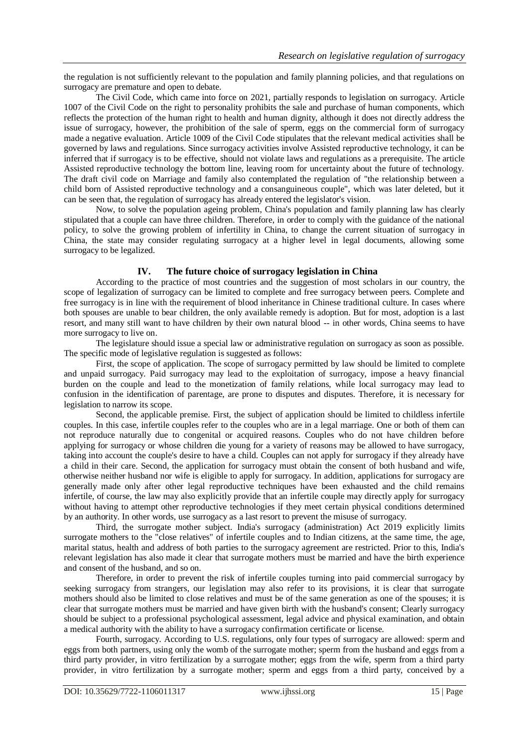the regulation is not sufficiently relevant to the population and family planning policies, and that regulations on surrogacy are premature and open to debate.

The Civil Code, which came into force on 2021, partially responds to legislation on surrogacy. Article 1007 of the Civil Code on the right to personality prohibits the sale and purchase of human components, which reflects the protection of the human right to health and human dignity, although it does not directly address the issue of surrogacy, however, the prohibition of the sale of sperm, eggs on the commercial form of surrogacy made a negative evaluation. Article 1009 of the Civil Code stipulates that the relevant medical activities shall be governed by laws and regulations. Since surrogacy activities involve Assisted reproductive technology, it can be inferred that if surrogacy is to be effective, should not violate laws and regulations as a prerequisite. The article Assisted reproductive technology the bottom line, leaving room for uncertainty about the future of technology. The draft civil code on Marriage and family also contemplated the regulation of "the relationship between a child born of Assisted reproductive technology and a consanguineous couple", which was later deleted, but it can be seen that, the regulation of surrogacy has already entered the legislator's vision.

Now, to solve the population ageing problem, China's population and family planning law has clearly stipulated that a couple can have three children. Therefore, in order to comply with the guidance of the national policy, to solve the growing problem of infertility in China, to change the current situation of surrogacy in China, the state may consider regulating surrogacy at a higher level in legal documents, allowing some surrogacy to be legalized.

## **IV. The future choice of surrogacy legislation in China**

According to the practice of most countries and the suggestion of most scholars in our country, the scope of legalization of surrogacy can be limited to complete and free surrogacy between peers. Complete and free surrogacy is in line with the requirement of blood inheritance in Chinese traditional culture. In cases where both spouses are unable to bear children, the only available remedy is adoption. But for most, adoption is a last resort, and many still want to have children by their own natural blood -- in other words, China seems to have more surrogacy to live on.

The legislature should issue a special law or administrative regulation on surrogacy as soon as possible. The specific mode of legislative regulation is suggested as follows:

First, the scope of application. The scope of surrogacy permitted by law should be limited to complete and unpaid surrogacy. Paid surrogacy may lead to the exploitation of surrogacy, impose a heavy financial burden on the couple and lead to the monetization of family relations, while local surrogacy may lead to confusion in the identification of parentage, are prone to disputes and disputes. Therefore, it is necessary for legislation to narrow its scope.

Second, the applicable premise. First, the subject of application should be limited to childless infertile couples. In this case, infertile couples refer to the couples who are in a legal marriage. One or both of them can not reproduce naturally due to congenital or acquired reasons. Couples who do not have children before applying for surrogacy or whose children die young for a variety of reasons may be allowed to have surrogacy, taking into account the couple's desire to have a child. Couples can not apply for surrogacy if they already have a child in their care. Second, the application for surrogacy must obtain the consent of both husband and wife, otherwise neither husband nor wife is eligible to apply for surrogacy. In addition, applications for surrogacy are generally made only after other legal reproductive techniques have been exhausted and the child remains infertile, of course, the law may also explicitly provide that an infertile couple may directly apply for surrogacy without having to attempt other reproductive technologies if they meet certain physical conditions determined by an authority. In other words, use surrogacy as a last resort to prevent the misuse of surrogacy.

Third, the surrogate mother subject. India's surrogacy (administration) Act 2019 explicitly limits surrogate mothers to the "close relatives" of infertile couples and to Indian citizens, at the same time, the age, marital status, health and address of both parties to the surrogacy agreement are restricted. Prior to this, India's relevant legislation has also made it clear that surrogate mothers must be married and have the birth experience and consent of the husband, and so on.

Therefore, in order to prevent the risk of infertile couples turning into paid commercial surrogacy by seeking surrogacy from strangers, our legislation may also refer to its provisions, it is clear that surrogate mothers should also be limited to close relatives and must be of the same generation as one of the spouses; it is clear that surrogate mothers must be married and have given birth with the husband's consent; Clearly surrogacy should be subject to a professional psychological assessment, legal advice and physical examination, and obtain a medical authority with the ability to have a surrogacy confirmation certificate or license.

Fourth, surrogacy. According to U.S. regulations, only four types of surrogacy are allowed: sperm and eggs from both partners, using only the womb of the surrogate mother; sperm from the husband and eggs from a third party provider, in vitro fertilization by a surrogate mother; eggs from the wife, sperm from a third party provider, in vitro fertilization by a surrogate mother; sperm and eggs from a third party, conceived by a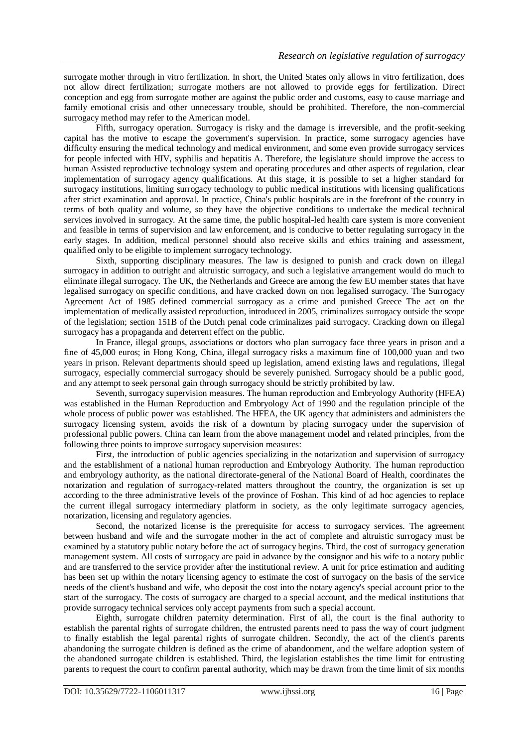surrogate mother through in vitro fertilization. In short, the United States only allows in vitro fertilization, does not allow direct fertilization; surrogate mothers are not allowed to provide eggs for fertilization. Direct conception and egg from surrogate mother are against the public order and customs, easy to cause marriage and family emotional crisis and other unnecessary trouble, should be prohibited. Therefore, the non-commercial surrogacy method may refer to the American model.

Fifth, surrogacy operation. Surrogacy is risky and the damage is irreversible, and the profit-seeking capital has the motive to escape the government's supervision. In practice, some surrogacy agencies have difficulty ensuring the medical technology and medical environment, and some even provide surrogacy services for people infected with HIV, syphilis and hepatitis A. Therefore, the legislature should improve the access to human Assisted reproductive technology system and operating procedures and other aspects of regulation, clear implementation of surrogacy agency qualifications. At this stage, it is possible to set a higher standard for surrogacy institutions, limiting surrogacy technology to public medical institutions with licensing qualifications after strict examination and approval. In practice, China's public hospitals are in the forefront of the country in terms of both quality and volume, so they have the objective conditions to undertake the medical technical services involved in surrogacy. At the same time, the public hospital-led health care system is more convenient and feasible in terms of supervision and law enforcement, and is conducive to better regulating surrogacy in the early stages. In addition, medical personnel should also receive skills and ethics training and assessment, qualified only to be eligible to implement surrogacy technology.

Sixth, supporting disciplinary measures. The law is designed to punish and crack down on illegal surrogacy in addition to outright and altruistic surrogacy, and such a legislative arrangement would do much to eliminate illegal surrogacy. The UK, the Netherlands and Greece are among the few EU member states that have legalised surrogacy on specific conditions, and have cracked down on non legalised surrogacy. The Surrogacy Agreement Act of 1985 defined commercial surrogacy as a crime and punished Greece The act on the implementation of medically assisted reproduction, introduced in 2005, criminalizes surrogacy outside the scope of the legislation; section 151B of the Dutch penal code criminalizes paid surrogacy. Cracking down on illegal surrogacy has a propaganda and deterrent effect on the public.

In France, illegal groups, associations or doctors who plan surrogacy face three years in prison and a fine of 45,000 euros; in Hong Kong, China, illegal surrogacy risks a maximum fine of 100,000 yuan and two years in prison. Relevant departments should speed up legislation, amend existing laws and regulations, illegal surrogacy, especially commercial surrogacy should be severely punished. Surrogacy should be a public good, and any attempt to seek personal gain through surrogacy should be strictly prohibited by law.

Seventh, surrogacy supervision measures. The human reproduction and Embryology Authority (HFEA) was established in the Human Reproduction and Embryology Act of 1990 and the regulation principle of the whole process of public power was established. The HFEA, the UK agency that administers and administers the surrogacy licensing system, avoids the risk of a downturn by placing surrogacy under the supervision of professional public powers. China can learn from the above management model and related principles, from the following three points to improve surrogacy supervision measures:

First, the introduction of public agencies specializing in the notarization and supervision of surrogacy and the establishment of a national human reproduction and Embryology Authority. The human reproduction and embryology authority, as the national directorate-general of the National Board of Health, coordinates the notarization and regulation of surrogacy-related matters throughout the country, the organization is set up according to the three administrative levels of the province of Foshan. This kind of ad hoc agencies to replace the current illegal surrogacy intermediary platform in society, as the only legitimate surrogacy agencies, notarization, licensing and regulatory agencies.

Second, the notarized license is the prerequisite for access to surrogacy services. The agreement between husband and wife and the surrogate mother in the act of complete and altruistic surrogacy must be examined by a statutory public notary before the act of surrogacy begins. Third, the cost of surrogacy generation management system. All costs of surrogacy are paid in advance by the consignor and his wife to a notary public and are transferred to the service provider after the institutional review. A unit for price estimation and auditing has been set up within the notary licensing agency to estimate the cost of surrogacy on the basis of the service needs of the client's husband and wife, who deposit the cost into the notary agency's special account prior to the start of the surrogacy. The costs of surrogacy are charged to a special account, and the medical institutions that provide surrogacy technical services only accept payments from such a special account.

Eighth, surrogate children paternity determination. First of all, the court is the final authority to establish the parental rights of surrogate children, the entrusted parents need to pass the way of court judgment to finally establish the legal parental rights of surrogate children. Secondly, the act of the client's parents abandoning the surrogate children is defined as the crime of abandonment, and the welfare adoption system of the abandoned surrogate children is established. Third, the legislation establishes the time limit for entrusting parents to request the court to confirm parental authority, which may be drawn from the time limit of six months